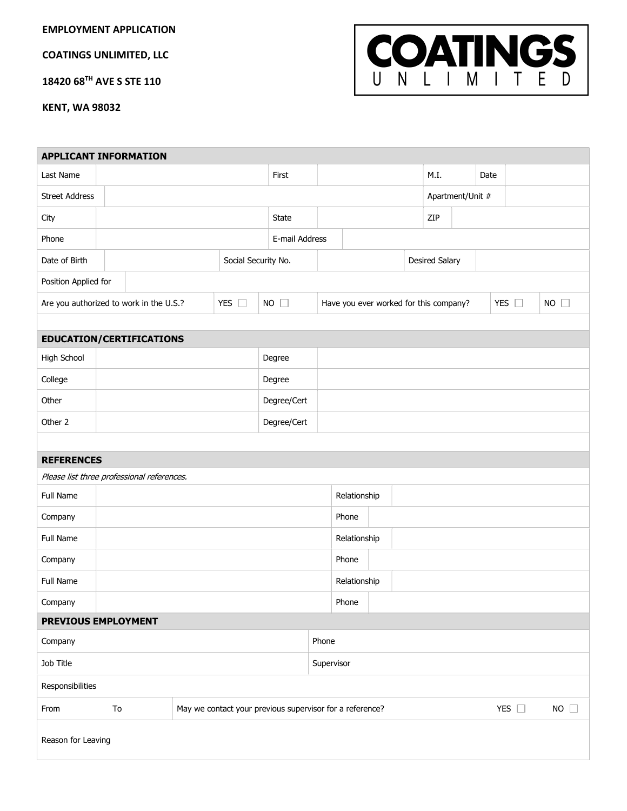EMPLOYMENT APPLICATION

COATINGS UNLIMITED, LLC

18420 68TH AVE S STE 110

COATINGS

KENT, WA 98032

|                       | <b>APPLICANT INFORMATION</b>                                   |  |                     |                |              |                  |                                        |  |                |  |               |               |             |  |
|-----------------------|----------------------------------------------------------------|--|---------------------|----------------|--------------|------------------|----------------------------------------|--|----------------|--|---------------|---------------|-------------|--|
| Last Name             |                                                                |  |                     | First          |              |                  |                                        |  | M.I.           |  | Date          |               |             |  |
| <b>Street Address</b> |                                                                |  |                     |                |              | Apartment/Unit # |                                        |  |                |  |               |               |             |  |
| City                  |                                                                |  |                     | State          |              |                  |                                        |  | ZIP            |  |               |               |             |  |
| Phone                 |                                                                |  |                     | E-mail Address |              |                  |                                        |  |                |  |               |               |             |  |
| Date of Birth         |                                                                |  | Social Security No. |                |              |                  |                                        |  | Desired Salary |  |               |               |             |  |
| Position Applied for  |                                                                |  |                     |                |              |                  |                                        |  |                |  |               |               |             |  |
|                       | Are you authorized to work in the U.S.?                        |  | YES $\square$       | $NO$ $\Box$    |              |                  | Have you ever worked for this company? |  |                |  |               | YES $\square$ | $NO$ $\Box$ |  |
|                       |                                                                |  |                     |                |              |                  |                                        |  |                |  |               |               |             |  |
|                       | <b>EDUCATION/CERTIFICATIONS</b>                                |  |                     |                |              |                  |                                        |  |                |  |               |               |             |  |
| High School           |                                                                |  |                     | Degree         |              |                  |                                        |  |                |  |               |               |             |  |
| College               |                                                                |  |                     | Degree         |              |                  |                                        |  |                |  |               |               |             |  |
| Other                 |                                                                |  |                     |                | Degree/Cert  |                  |                                        |  |                |  |               |               |             |  |
| Other 2               |                                                                |  |                     | Degree/Cert    |              |                  |                                        |  |                |  |               |               |             |  |
|                       |                                                                |  |                     |                |              |                  |                                        |  |                |  |               |               |             |  |
| <b>REFERENCES</b>     |                                                                |  |                     |                |              |                  |                                        |  |                |  |               |               |             |  |
|                       | Please list three professional references.                     |  |                     |                |              |                  |                                        |  |                |  |               |               |             |  |
| Full Name             |                                                                |  |                     |                |              | Relationship     |                                        |  |                |  |               |               |             |  |
| Company               |                                                                |  |                     |                |              | Phone            |                                        |  |                |  |               |               |             |  |
| Full Name             |                                                                |  |                     |                |              | Relationship     |                                        |  |                |  |               |               |             |  |
| Company               |                                                                |  |                     |                | Phone        |                  |                                        |  |                |  |               |               |             |  |
| Full Name             |                                                                |  |                     |                | Relationship |                  |                                        |  |                |  |               |               |             |  |
| Company               |                                                                |  |                     |                | Phone        |                  |                                        |  |                |  |               |               |             |  |
|                       | PREVIOUS EMPLOYMENT                                            |  |                     |                |              |                  |                                        |  |                |  |               |               |             |  |
| Company               |                                                                |  |                     |                | Phone        |                  |                                        |  |                |  |               |               |             |  |
| Job Title             |                                                                |  |                     |                | Supervisor   |                  |                                        |  |                |  |               |               |             |  |
| Responsibilities      |                                                                |  |                     |                |              |                  |                                        |  |                |  |               |               |             |  |
| From                  | May we contact your previous supervisor for a reference?<br>To |  |                     |                |              |                  |                                        |  |                |  | YES $\square$ |               | $NO$ $\Box$ |  |
| Reason for Leaving    |                                                                |  |                     |                |              |                  |                                        |  |                |  |               |               |             |  |